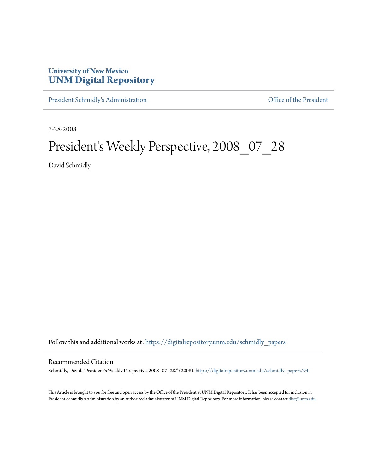## **University of New Mexico [UNM Digital Repository](https://digitalrepository.unm.edu?utm_source=digitalrepository.unm.edu%2Fschmidly_papers%2F94&utm_medium=PDF&utm_campaign=PDFCoverPages)**

[President Schmidly's Administration](https://digitalrepository.unm.edu/schmidly_papers?utm_source=digitalrepository.unm.edu%2Fschmidly_papers%2F94&utm_medium=PDF&utm_campaign=PDFCoverPages) [Office of the President](https://digitalrepository.unm.edu/ofc_president?utm_source=digitalrepository.unm.edu%2Fschmidly_papers%2F94&utm_medium=PDF&utm_campaign=PDFCoverPages)

7-28-2008

## President's Weekly Perspective, 2008\_07\_28

David Schmidly

Follow this and additional works at: [https://digitalrepository.unm.edu/schmidly\\_papers](https://digitalrepository.unm.edu/schmidly_papers?utm_source=digitalrepository.unm.edu%2Fschmidly_papers%2F94&utm_medium=PDF&utm_campaign=PDFCoverPages)

## Recommended Citation

Schmidly, David. "President's Weekly Perspective, 2008\_07\_28." (2008). [https://digitalrepository.unm.edu/schmidly\\_papers/94](https://digitalrepository.unm.edu/schmidly_papers/94?utm_source=digitalrepository.unm.edu%2Fschmidly_papers%2F94&utm_medium=PDF&utm_campaign=PDFCoverPages)

This Article is brought to you for free and open access by the Office of the President at UNM Digital Repository. It has been accepted for inclusion in President Schmidly's Administration by an authorized administrator of UNM Digital Repository. For more information, please contact [disc@unm.edu](mailto:disc@unm.edu).